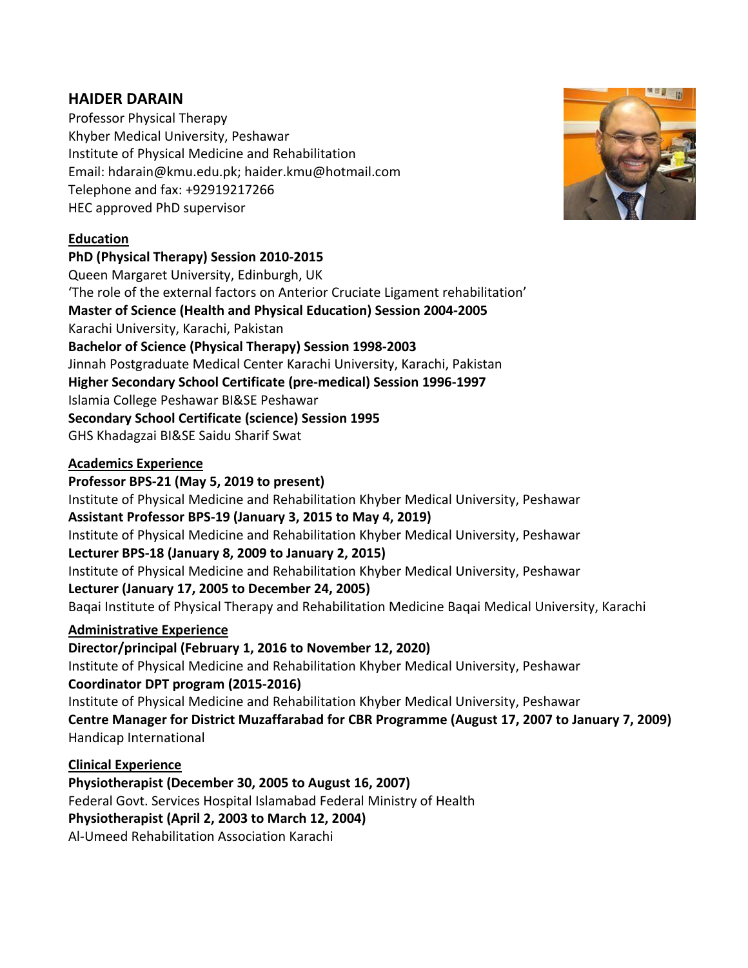# **HAIDER DARAIN**

Professor Physical Therapy Khyber Medical University, Peshawar Institute of Physical Medicine and Rehabilitation Email: [hdarain@kmu.edu.pk;](mailto:hdarain@kmu.edu.pk) haider.kmu@hotmail.com Telephone and fax: +92919217266 HEC approved PhD supervisor

# **Education**

#### **PhD (Physical Therapy) Session 2010-2015**

Queen Margaret University, Edinburgh, UK 'The role of the external factors on Anterior Cruciate Ligament rehabilitation' **Master of Science (Health and Physical Education) Session 2004-2005** Karachi University, Karachi, Pakistan **Bachelor of Science (Physical Therapy) Session 1998-2003** Jinnah Postgraduate Medical Center Karachi University, Karachi, Pakistan **Higher Secondary School Certificate (pre-medical) Session 1996-1997** Islamia College Peshawar BI&SE Peshawar **Secondary School Certificate (science) Session 1995** GHS Khadagzai BI&SE Saidu Sharif Swat

#### **Academics Experience**

**Professor BPS-21 (May 5, 2019 to present)**

Institute of Physical Medicine and Rehabilitation Khyber Medical University, Peshawar

**Assistant Professor BPS-19 (January 3, 2015 to May 4, 2019)**

Institute of Physical Medicine and Rehabilitation Khyber Medical University, Peshawar

#### **Lecturer BPS-18 (January 8, 2009 to January 2, 2015)**

Institute of Physical Medicine and Rehabilitation Khyber Medical University, Peshawar

#### **Lecturer (January 17, 2005 to December 24, 2005)**

Baqai Institute of Physical Therapy and Rehabilitation Medicine Baqai Medical University, Karachi

#### **Administrative Experience**

#### **Director/principal (February 1, 2016 to November 12, 2020)**

Institute of Physical Medicine and Rehabilitation Khyber Medical University, Peshawar **Coordinator DPT program (2015-2016)**

Institute of Physical Medicine and Rehabilitation Khyber Medical University, Peshawar **Centre Manager for District Muzaffarabad for CBR Programme (August 17, 2007 to January 7, 2009)** Handicap International

# **Clinical Experience**

**Physiotherapist (December 30, 2005 to August 16, 2007)** Federal Govt. Services Hospital Islamabad Federal Ministry of Health **Physiotherapist (April 2, 2003 to March 12, 2004)** Al-Umeed Rehabilitation Association Karachi

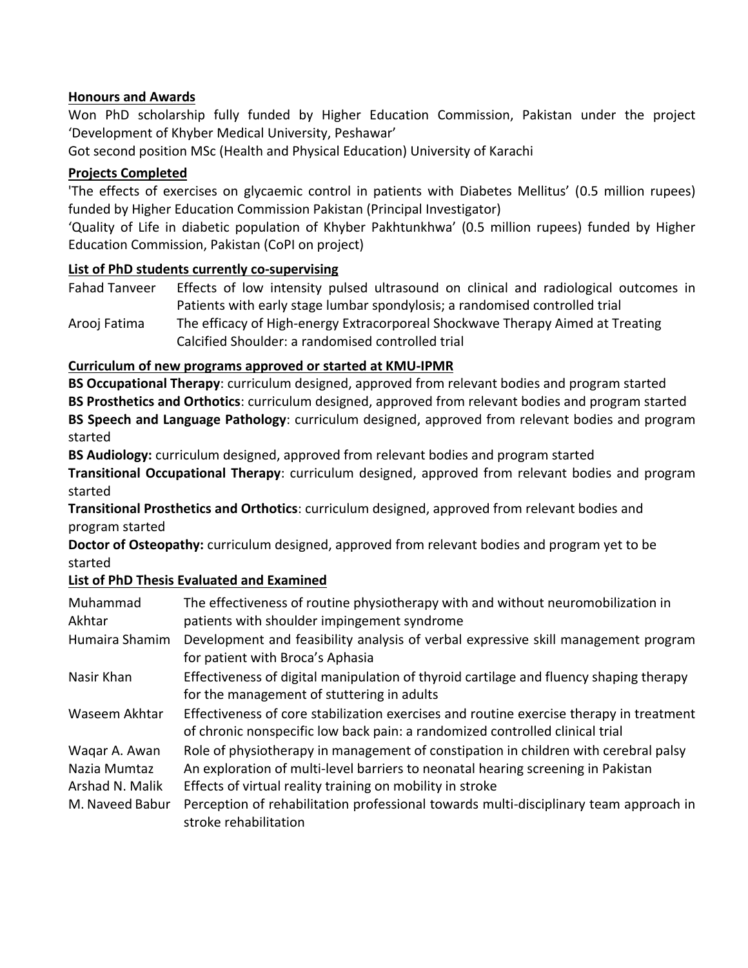#### **Honours and Awards**

Won PhD scholarship fully funded by Higher Education Commission, Pakistan under the project 'Development of Khyber Medical University, Peshawar'

Got second position MSc (Health and Physical Education) University of Karachi

#### **Projects Completed**

'The effects of exercises on glycaemic control in patients with Diabetes Mellitus' (0.5 million rupees) funded by Higher Education Commission Pakistan (Principal Investigator)

'Quality of Life in diabetic population of Khyber Pakhtunkhwa' (0.5 million rupees) funded by Higher Education Commission, Pakistan (CoPI on project)

#### **List of PhD students currently co-supervising**

Fahad Tanveer Effects of low intensity pulsed ultrasound on clinical and radiological outcomes in Patients with early stage lumbar spondylosis; a randomised controlled trial

Arooj Fatima The efficacy of High-energy Extracorporeal Shockwave Therapy Aimed at Treating Calcified Shoulder: a randomised controlled trial

# **Curriculum of new programs approved or started at KMU-IPMR**

**BS Occupational Therapy**: curriculum designed, approved from relevant bodies and program started **BS Prosthetics and Orthotics**: curriculum designed, approved from relevant bodies and program started **BS Speech and Language Pathology**: curriculum designed, approved from relevant bodies and program started

**BS Audiology:** curriculum designed, approved from relevant bodies and program started

**Transitional Occupational Therapy**: curriculum designed, approved from relevant bodies and program started

**Transitional Prosthetics and Orthotics**: curriculum designed, approved from relevant bodies and program started

**Doctor of Osteopathy:** curriculum designed, approved from relevant bodies and program yet to be started

# **List of PhD Thesis Evaluated and Examined**

| Muhammad<br>Akhtar | The effectiveness of routine physiotherapy with and without neuromobilization in<br>patients with shoulder impingement syndrome                                         |
|--------------------|-------------------------------------------------------------------------------------------------------------------------------------------------------------------------|
| Humaira Shamim     | Development and feasibility analysis of verbal expressive skill management program<br>for patient with Broca's Aphasia                                                  |
| Nasir Khan         | Effectiveness of digital manipulation of thyroid cartilage and fluency shaping therapy<br>for the management of stuttering in adults                                    |
| Waseem Akhtar      | Effectiveness of core stabilization exercises and routine exercise therapy in treatment<br>of chronic nonspecific low back pain: a randomized controlled clinical trial |
| Wagar A. Awan      | Role of physiotherapy in management of constipation in children with cerebral palsy                                                                                     |
| Nazia Mumtaz       | An exploration of multi-level barriers to neonatal hearing screening in Pakistan                                                                                        |
| Arshad N. Malik    | Effects of virtual reality training on mobility in stroke                                                                                                               |
| M. Naveed Babur    | Perception of rehabilitation professional towards multi-disciplinary team approach in<br>stroke rehabilitation                                                          |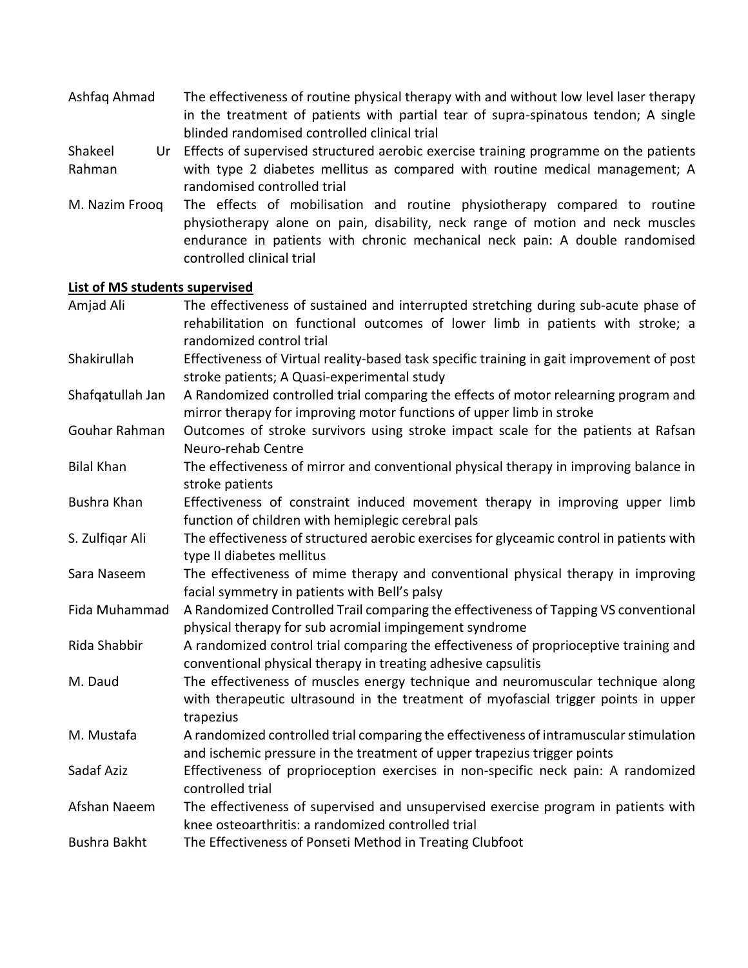Ashfaq Ahmad The effectiveness of routine physical therapy with and without low level laser therapy in the treatment of patients with partial tear of supra-spinatous tendon; A single blinded randomised controlled clinical trial

Shakeel Rahman Effects of supervised structured aerobic exercise training programme on the patients with type 2 diabetes mellitus as compared with routine medical management; A randomised controlled trial

M. Nazim Frooq The effects of mobilisation and routine physiotherapy compared to routine physiotherapy alone on pain, disability, neck range of motion and neck muscles endurance in patients with chronic mechanical neck pain: A double randomised controlled clinical trial

# **List of MS students supervised**

| The effectiveness of sustained and interrupted stretching during sub-acute phase of<br>rehabilitation on functional outcomes of lower limb in patients with stroke; a              |
|------------------------------------------------------------------------------------------------------------------------------------------------------------------------------------|
| randomized control trial                                                                                                                                                           |
| Effectiveness of Virtual reality-based task specific training in gait improvement of post<br>stroke patients; A Quasi-experimental study                                           |
| A Randomized controlled trial comparing the effects of motor relearning program and                                                                                                |
| mirror therapy for improving motor functions of upper limb in stroke                                                                                                               |
| Outcomes of stroke survivors using stroke impact scale for the patients at Rafsan                                                                                                  |
| Neuro-rehab Centre                                                                                                                                                                 |
| The effectiveness of mirror and conventional physical therapy in improving balance in<br>stroke patients                                                                           |
| Effectiveness of constraint induced movement therapy in improving upper limb<br>function of children with hemiplegic cerebral pals                                                 |
| The effectiveness of structured aerobic exercises for glyceamic control in patients with<br>type II diabetes mellitus                                                              |
| The effectiveness of mime therapy and conventional physical therapy in improving<br>facial symmetry in patients with Bell's palsy                                                  |
| A Randomized Controlled Trail comparing the effectiveness of Tapping VS conventional<br>physical therapy for sub acromial impingement syndrome                                     |
| A randomized control trial comparing the effectiveness of proprioceptive training and<br>conventional physical therapy in treating adhesive capsulitis                             |
| The effectiveness of muscles energy technique and neuromuscular technique along<br>with therapeutic ultrasound in the treatment of myofascial trigger points in upper<br>trapezius |
| A randomized controlled trial comparing the effectiveness of intramuscular stimulation<br>and ischemic pressure in the treatment of upper trapezius trigger points                 |
| Effectiveness of proprioception exercises in non-specific neck pain: A randomized<br>controlled trial                                                                              |
| The effectiveness of supervised and unsupervised exercise program in patients with<br>knee osteoarthritis: a randomized controlled trial                                           |
| The Effectiveness of Ponseti Method in Treating Clubfoot                                                                                                                           |
|                                                                                                                                                                                    |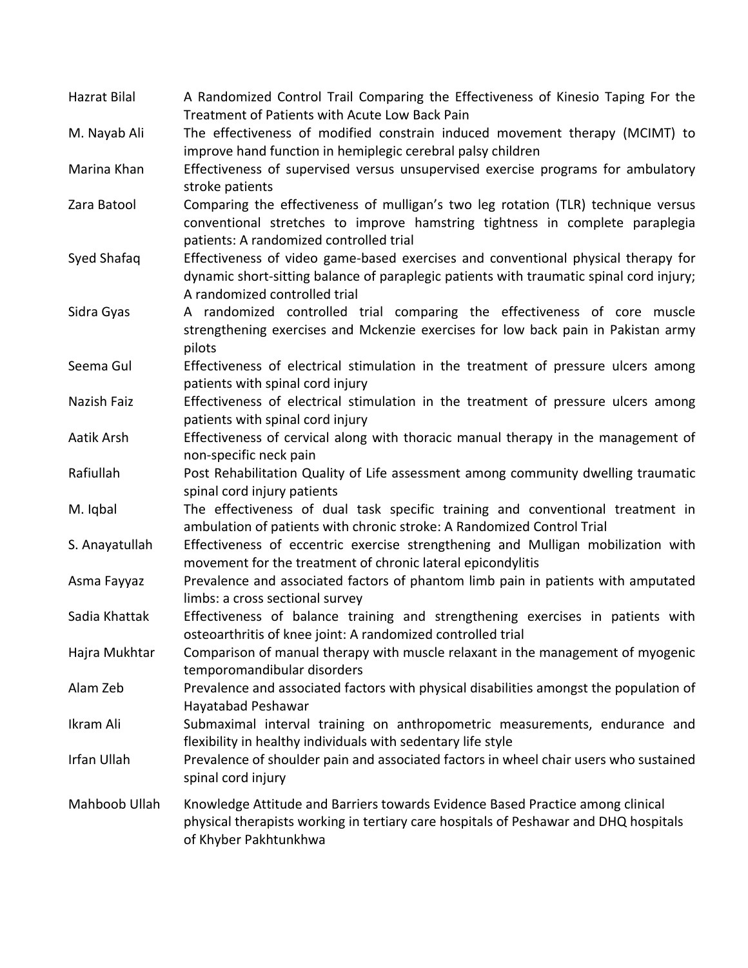| Hazrat Bilal       | A Randomized Control Trail Comparing the Effectiveness of Kinesio Taping For the<br>Treatment of Patients with Acute Low Back Pain |
|--------------------|------------------------------------------------------------------------------------------------------------------------------------|
| M. Nayab Ali       | The effectiveness of modified constrain induced movement therapy (MCIMT) to                                                        |
|                    | improve hand function in hemiplegic cerebral palsy children                                                                        |
| Marina Khan        | Effectiveness of supervised versus unsupervised exercise programs for ambulatory                                                   |
|                    | stroke patients                                                                                                                    |
| Zara Batool        | Comparing the effectiveness of mulligan's two leg rotation (TLR) technique versus                                                  |
|                    | conventional stretches to improve hamstring tightness in complete paraplegia                                                       |
|                    | patients: A randomized controlled trial                                                                                            |
| Syed Shafaq        | Effectiveness of video game-based exercises and conventional physical therapy for                                                  |
|                    | dynamic short-sitting balance of paraplegic patients with traumatic spinal cord injury;                                            |
|                    | A randomized controlled trial                                                                                                      |
| Sidra Gyas         | A randomized controlled trial comparing the effectiveness of core muscle                                                           |
|                    | strengthening exercises and Mckenzie exercises for low back pain in Pakistan army                                                  |
|                    | pilots                                                                                                                             |
| Seema Gul          | Effectiveness of electrical stimulation in the treatment of pressure ulcers among                                                  |
|                    | patients with spinal cord injury                                                                                                   |
| Nazish Faiz        | Effectiveness of electrical stimulation in the treatment of pressure ulcers among                                                  |
|                    | patients with spinal cord injury                                                                                                   |
| Aatik Arsh         | Effectiveness of cervical along with thoracic manual therapy in the management of                                                  |
|                    | non-specific neck pain                                                                                                             |
| Rafiullah          | Post Rehabilitation Quality of Life assessment among community dwelling traumatic                                                  |
|                    | spinal cord injury patients                                                                                                        |
| M. Iqbal           | The effectiveness of dual task specific training and conventional treatment in                                                     |
|                    | ambulation of patients with chronic stroke: A Randomized Control Trial                                                             |
| S. Anayatullah     | Effectiveness of eccentric exercise strengthening and Mulligan mobilization with                                                   |
|                    | movement for the treatment of chronic lateral epicondylitis                                                                        |
| Asma Fayyaz        | Prevalence and associated factors of phantom limb pain in patients with amputated                                                  |
|                    | limbs: a cross sectional survey                                                                                                    |
| Sadia Khattak      | Effectiveness of balance training and strengthening exercises in patients with                                                     |
|                    | osteoarthritis of knee joint: A randomized controlled trial                                                                        |
| Hajra Mukhtar      | Comparison of manual therapy with muscle relaxant in the management of myogenic                                                    |
|                    | temporomandibular disorders                                                                                                        |
| Alam Zeb           | Prevalence and associated factors with physical disabilities amongst the population of                                             |
|                    | Hayatabad Peshawar                                                                                                                 |
| Ikram Ali          | Submaximal interval training on anthropometric measurements, endurance and                                                         |
|                    | flexibility in healthy individuals with sedentary life style                                                                       |
| <b>Irfan Ullah</b> | Prevalence of shoulder pain and associated factors in wheel chair users who sustained                                              |
|                    | spinal cord injury                                                                                                                 |
| Mahboob Ullah      | Knowledge Attitude and Barriers towards Evidence Based Practice among clinical                                                     |
|                    | physical therapists working in tertiary care hospitals of Peshawar and DHQ hospitals                                               |
|                    | of Khyber Pakhtunkhwa                                                                                                              |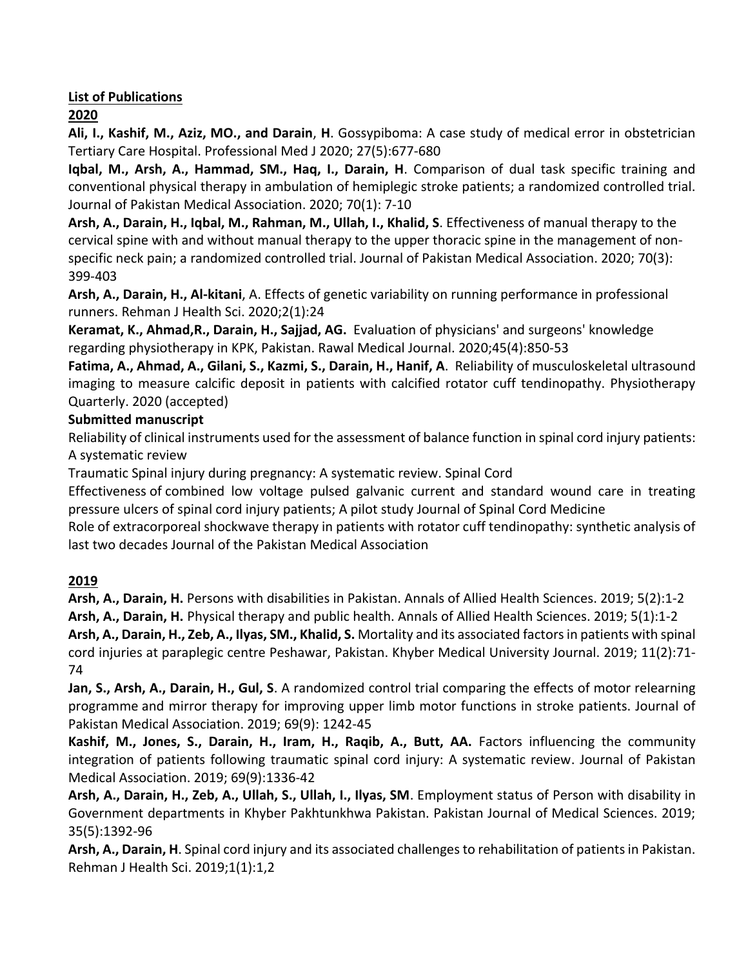#### **List of Publications**

# **2020**

**Ali, I., Kashif, M., Aziz, MO., and Darain**, **H**. Gossypiboma: A case study of medical error in obstetrician Tertiary Care Hospital. Professional Med J 2020; 27(5):677-680

**Iqbal, M., Arsh, A., Hammad, SM., Haq, I., Darain, H**. Comparison of dual task specific training and conventional physical therapy in ambulation of hemiplegic stroke patients; a randomized controlled trial. Journal of Pakistan Medical Association. 2020; 70(1): 7-10

**Arsh, A., Darain, H., Iqbal, M., Rahman, M., Ullah, I., Khalid, S**. Effectiveness of manual therapy to the cervical spine with and without manual therapy to the upper thoracic spine in the management of nonspecific neck pain; a randomized controlled trial. Journal of Pakistan Medical Association. 2020; 70(3): 399-403

**Arsh, A., Darain, H., Al-kitani**, A. Effects of genetic variability on running performance in professional runners. Rehman J Health Sci. 2020;2(1):24

**Keramat, K., Ahmad,R., Darain, H., Sajjad, AG.** Evaluation of physicians' and surgeons' knowledge regarding physiotherapy in KPK, Pakistan. Rawal Medical Journal. 2020;45(4):850-53

**Fatima, A., Ahmad, A., Gilani, S., Kazmi, S., Darain, H., Hanif, A**. Reliability of musculoskeletal ultrasound imaging to measure calcific deposit in patients with calcified rotator cuff tendinopathy. Physiotherapy Quarterly. 2020 (accepted)

#### **Submitted manuscript**

Reliability of clinical instruments used for the assessment of balance function in spinal cord injury patients: A systematic review

Traumatic Spinal injury during pregnancy: A systematic review. Spinal Cord

Effectiveness of combined low voltage pulsed galvanic current and standard wound care in treating pressure ulcers of spinal cord injury patients; A pilot study Journal of Spinal Cord Medicine

Role of extracorporeal shockwave therapy in patients with rotator cuff tendinopathy: synthetic analysis of last two decades Journal of the Pakistan Medical Association

# **2019**

**Arsh, A., Darain, H.** Persons with disabilities in Pakistan. Annals of Allied Health Sciences. 2019; 5(2):1-2 **Arsh, A., Darain, H.** Physical therapy and public health. Annals of Allied Health Sciences. 2019; 5(1):1-2 **Arsh, A., Darain, H., Zeb, A., Ilyas, SM., Khalid, S.** Mortality and its associated factors in patients with spinal cord injuries at paraplegic centre Peshawar, Pakistan. Khyber Medical University Journal. 2019; 11(2):71- 74

**Jan, S., Arsh, A., Darain, H., Gul, S**. A randomized control trial comparing the effects of motor relearning programme and mirror therapy for improving upper limb motor functions in stroke patients. Journal of Pakistan Medical Association. 2019; 69(9): 1242-45

**Kashif, M., Jones, S., Darain, H., Iram, H., Raqib, A., Butt, AA.** Factors influencing the community integration of patients following traumatic spinal cord injury: A systematic review. Journal of Pakistan Medical Association. 2019; 69(9):1336-42

**Arsh, A., Darain, H., Zeb, A., Ullah, S., Ullah, I., Ilyas, SM**. Employment status of Person with disability in Government departments in Khyber Pakhtunkhwa Pakistan. Pakistan Journal of Medical Sciences. 2019; 35(5):1392-96

**Arsh, A., Darain, H**. Spinal cord injury and its associated challenges to rehabilitation of patients in Pakistan. Rehman J Health Sci. 2019;1(1):1,2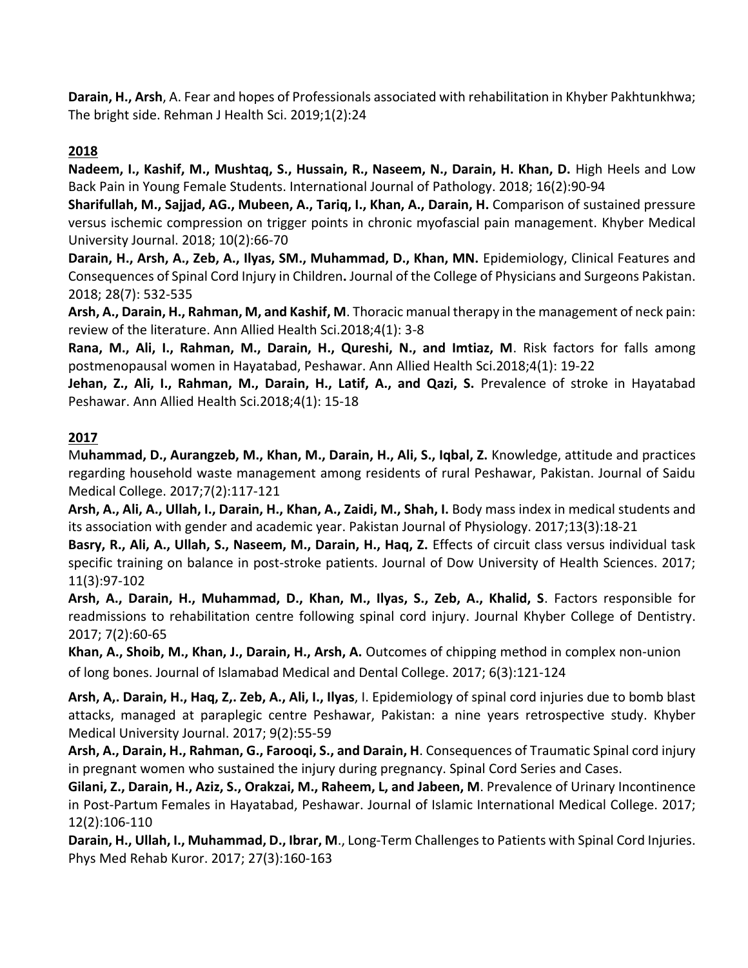**Darain, H., Arsh**, A. Fear and hopes of Professionals associated with rehabilitation in Khyber Pakhtunkhwa; The bright side. Rehman J Health Sci. 2019;1(2):24

# **2018**

**Nadeem, I., Kashif, M., Mushtaq, S., Hussain, R., Naseem, N., Darain, H. Khan, D.** High Heels and Low Back Pain in Young Female Students. International Journal of Pathology. 2018; 16(2):90-94

**Sharifullah, M., Sajjad, AG., Mubeen, A., Tariq, I., Khan, A., Darain, H.** Comparison of sustained pressure versus ischemic compression on trigger points in chronic myofascial pain management. Khyber Medical University Journal. 2018; 10(2):66-70

**Darain, H., Arsh, A., Zeb, A., Ilyas, SM., Muhammad, D., Khan, MN.** Epidemiology, Clinical Features and Consequences of Spinal Cord Injury in Children**.** Journal of the College of Physicians and Surgeons Pakistan. 2018; 28(7): 532-535

**Arsh, A., Darain, H., Rahman, M, and Kashif, M**. Thoracic manual therapy in the management of neck pain: review of the literature. Ann Allied Health Sci.2018;4(1): 3-8

**Rana, M., Ali, I., Rahman, M., Darain, H., Qureshi, N., and Imtiaz, M**. Risk factors for falls among postmenopausal women in Hayatabad, Peshawar. Ann Allied Health Sci.2018;4(1): 19-22

**Jehan, Z., Ali, I., Rahman, M., Darain, H., Latif, A., and Qazi, S.** Prevalence of stroke in Hayatabad Peshawar. Ann Allied Health Sci.2018;4(1): 15-18

#### **2017**

M**uhammad, D., Aurangzeb, M., Khan, M., Darain, H., Ali, S., Iqbal, Z.** Knowledge, attitude and practices regarding household waste management among residents of rural Peshawar, Pakistan. Journal of Saidu Medical College. 2017;7(2):117-121

**Arsh, A., Ali, A., Ullah, I., Darain, H., Khan, A., Zaidi, M., Shah, I.** Body mass index in medical students and its association with gender and academic year. Pakistan Journal of Physiology. 2017;13(3):18-21

**Basry, R., Ali, A., Ullah, S., Naseem, M., Darain, H., Haq, Z.** Effects of circuit class versus individual task specific training on balance in post-stroke patients. Journal of Dow University of Health Sciences. 2017; 11(3):97-102

**Arsh, A., Darain, H., Muhammad, D., Khan, M., Ilyas, S., Zeb, A., Khalid, S**. Factors responsible for readmissions to rehabilitation centre following spinal cord injury. Journal Khyber College of Dentistry. 2017; 7(2):60-65

**Khan, A., Shoib, M., Khan, J., Darain, H., Arsh, A.** Outcomes of chipping method in complex non-union of long bones. Journal of Islamabad Medical and Dental College. 2017; 6(3):121-124

**Arsh, A,. Darain, H., Haq, Z,. Zeb, A., Ali, I., Ilyas**, I. Epidemiology of spinal cord injuries due to bomb blast attacks, managed at paraplegic centre Peshawar, Pakistan: a nine years retrospective study. Khyber Medical University Journal. 2017; 9(2):55-59

**Arsh, A., Darain, H., Rahman, G., Farooqi, S., and Darain, H**. Consequences of Traumatic Spinal cord injury in pregnant women who sustained the injury during pregnancy. Spinal Cord Series and Cases.

**Gilani, Z., Darain, H., Aziz, S., Orakzai, M., Raheem, L, and Jabeen, M**. Prevalence of Urinary Incontinence in Post-Partum Females in Hayatabad, Peshawar. Journal of Islamic International Medical College. 2017; 12(2):106-110

**Darain, H.[, Ullah,](https://www.researchgate.net/researcher/2126604407_Muhammad_Shahid_Dildar?_iepl%5BviewId%5D=21oVMXfyGD0qTVHTSMwgEnSQ&_iepl%5BprofilePublicationItemVariant%5D=default&_iepl%5Bcontexts%5D%5B0%5D=prfpi&_iepl%5BtargetEntityId%5D=PB%3A317988134&_iepl%5BinteractionType%5D=publicationViewCoAuthorProfile) I., Muhammad, D., Ibrar, M**., Long-Term [Challengesto](https://www.researchgate.net/publication/317988134_Long-Term_Challenges_to_Patients_with_Spinal_Cord_Injuries?_iepl%5BviewId%5D=21oVMXfyGD0qTVHTSMwgEnSQ&_iepl%5BprofilePublicationItemVariant%5D=default&_iepl%5Bcontexts%5D%5B0%5D=prfpi&_iepl%5BtargetEntityId%5D=PB%3A317988134&_iepl%5BinteractionType%5D=publicationTitle) Patients with Spinal Cord Injuries. Phys Med Rehab Kuror. 2017; 27(3):160-163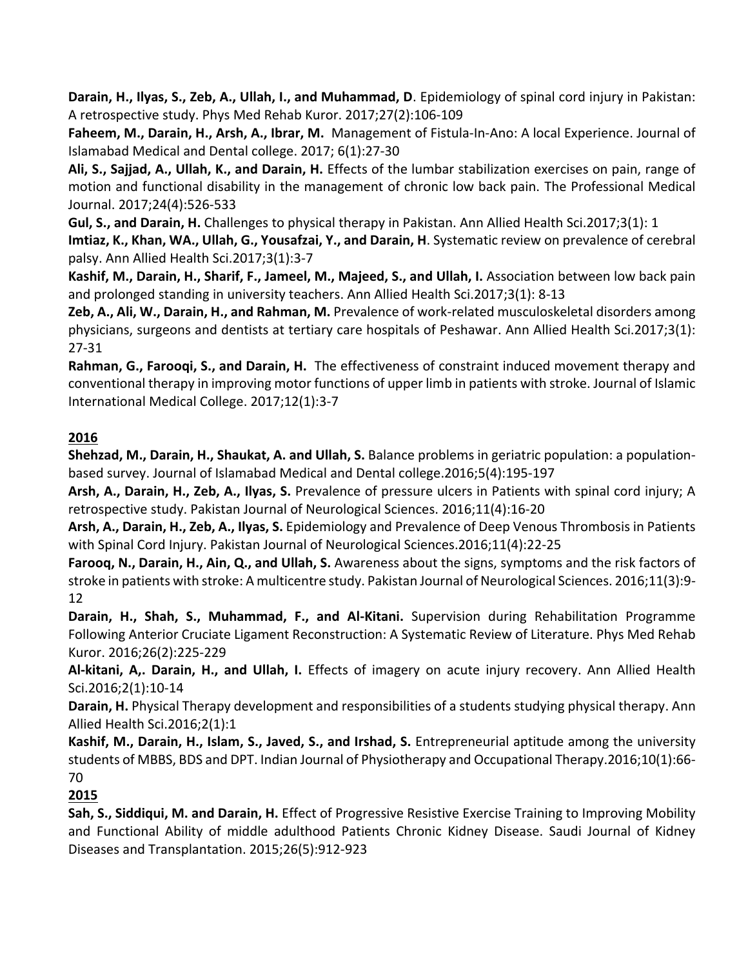**Darain, H., Ilyas, S., Zeb, A., Ullah, I., and Muhammad, D**. Epidemiology of spinal cord injury in Pakistan: A retrospective study. Phys Med Rehab Kuror. 2017;27(2):106-109

**Faheem, M., Darain, H., Arsh, A., Ibrar, M.** Management of Fistula-In-Ano: A local Experience. Journal of Islamabad Medical and Dental college. 2017; 6(1):27-30

**Ali, S., Sajjad, A., Ullah, K., and Darain, H.** Effects of the lumbar stabilization exercises on pain, range of motion and functional disability in the management of chronic low back pain. The Professional Medical Journal. 2017;24(4):526-533

**Gul, S., and Darain, H.** Challenges to physical therapy in Pakistan. Ann Allied Health Sci.2017;3(1): 1 **Imtiaz, K., Khan, WA., Ullah, G., Yousafzai, Y., and Darain, H**. Systematic review on prevalence of cerebral palsy. Ann Allied Health Sci.2017;3(1):3-7

**Kashif, M., Darain, H., Sharif, F., Jameel, M., Majeed, S., and Ullah, I.** Association between low back pain and prolonged standing in university teachers. Ann Allied Health Sci.2017;3(1): 8-13

**Zeb, A., Ali, W., Darain, H., and Rahman, M.** Prevalence of work-related musculoskeletal disorders among physicians, surgeons and dentists at tertiary care hospitals of Peshawar. Ann Allied Health Sci.2017;3(1): 27-31

**Rahman, G., Farooqi, S., and Darain, H.** The effectiveness of constraint induced movement therapy and conventional therapy in improving motor functions of upper limb in patients with stroke. Journal of Islamic International Medical College. 2017;12(1):3-7

# **2016**

**Shehzad, M., Darain, H., Shaukat, A. and Ullah, S.** Balance problems in geriatric population: a populationbased survey. Journal of Islamabad Medical and Dental college.2016;5(4):195-197

**Arsh, A., Darain, H., Zeb, A., Ilyas, S.** Prevalence of pressure ulcers in Patients with spinal cord injury; A retrospective study. Pakistan Journal of Neurological Sciences. 2016;11(4):16-20

**Arsh, A., Darain, H., Zeb, A., Ilyas, S.** Epidemiology and Prevalence of Deep Venous Thrombosis in Patients with Spinal Cord Injury. Pakistan Journal of Neurological Sciences.2016;11(4):22-25

**Farooq, N., Darain, H., Ain, Q., and Ullah, S.** Awareness about the signs, symptoms and the risk factors of stroke in patients with stroke: A multicentre study. Pakistan Journal of Neurological Sciences. 2016;11(3):9- 12

**Darain, H., Shah, S., Muhammad, F., and Al-Kitani.** Supervision during Rehabilitation Programme Following Anterior Cruciate Ligament Reconstruction: A Systematic Review of Literature. Phys Med Rehab Kuror. 2016;26(2):225-229

**Al-kitani, A,. Darain, H., and Ullah, I.** [Effects of imagery on acute injury recovery.](http://aahs.kmu.edu.pk/aahs/article/view/43) Ann Allied Health Sci.2016;2(1):10-14

**Darain, H.** [Physical Therapy development and responsibilities of a students studying physical therapy.](http://aahs.kmu.edu.pk/index.php/aahs/article/view/59) Ann Allied Health Sci.2016;2(1):1

**Kashif, M., Darain, H., Islam, S., Javed, S., and Irshad, S.** Entrepreneurial aptitude among the university students of MBBS, BDS and DPT. Indian Journal of Physiotherapy and Occupational Therapy.2016;10(1):66- 70

# **2015**

**Sah, S., Siddiqui, M. and Darain, H.** Effect of Progressive Resistive Exercise Training to Improving Mobility and Functional Ability of middle adulthood Patients Chronic Kidney Disease. Saudi Journal of Kidney Diseases and Transplantation. 2015;26(5):912-923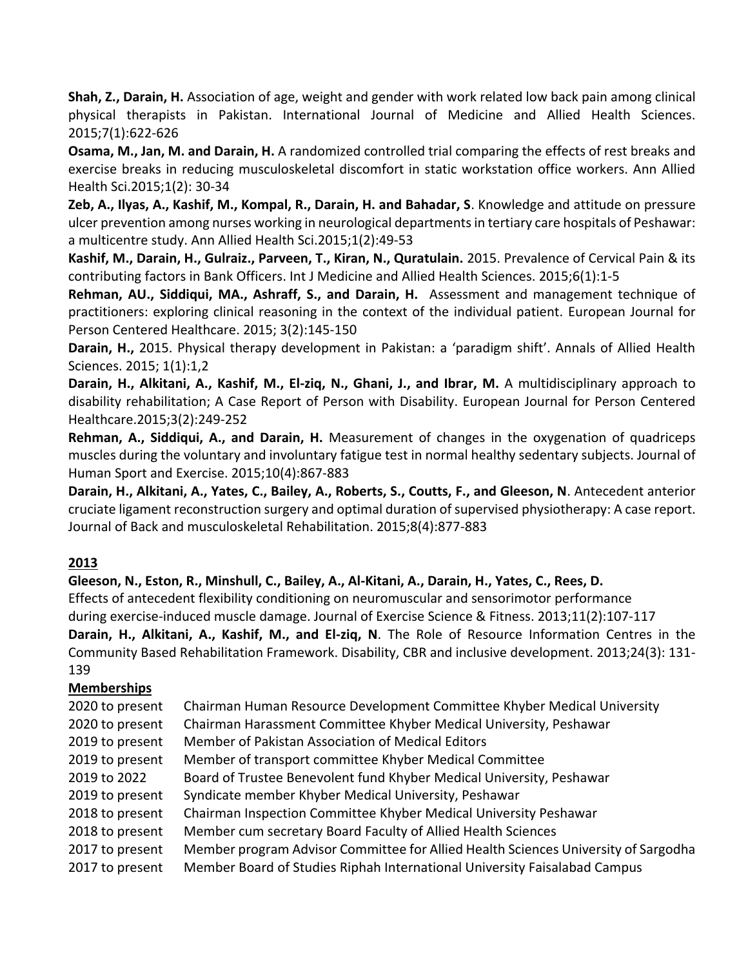**Shah, Z., Darain, H.** Association of age, weight and gender with work related low back pain among clinical physical therapists in Pakistan. International Journal of Medicine and Allied Health Sciences. 2015;7(1):622-626

**Osama, M., Jan, M. and Darain, H.** A randomized controlled trial comparing the effects of rest breaks and exercise breaks in reducing musculoskeletal discomfort in static workstation office workers. Ann Allied Health Sci.2015;1(2): 30-34

**Zeb, A., Ilyas, A., Kashif, M., Kompal, R., Darain, H. and Bahadar, S**. Knowledge and attitude on pressure ulcer prevention among nurses working in neurological departments in tertiary care hospitals of Peshawar: a multicentre study. Ann Allied Health Sci.2015;1(2):49-53

**Kashif, M., Darain, H., Gulraiz., Parveen, T., Kiran, N., Quratulain.** 2015. Prevalence of Cervical Pain & its contributing factors in Bank Officers. Int J Medicine and Allied Health Sciences. 2015;6(1):1-5

**Rehman, AU., Siddiqui, MA., Ashraff, S., and Darain, H.** Assessment and management technique of practitioners: exploring clinical reasoning in the context of the individual patient. European Journal for Person Centered Healthcare. 2015; 3(2):145-150

**Darain, H.,** 2015. Physical therapy development in Pakistan: a 'paradigm shift'. Annals of Allied Health Sciences. 2015; 1(1):1,2

**Darain, H., Alkitani, A., Kashif, M., El-ziq, N., Ghani, J., and Ibrar, M.** A multidisciplinary approach to disability rehabilitation; A Case Report of Person with Disability. European Journal for Person Centered Healthcare.2015;3(2):249-252

**Rehman, A., Siddiqui, A., and Darain, H.** Measurement of changes in the oxygenation of quadriceps muscles during the voluntary and involuntary fatigue test in normal healthy sedentary subjects. Journal of Human Sport and Exercise. 2015;10(4):867-883

**Darain, H., Alkitani, A., Yates, C., Bailey, A., Roberts, S., Coutts, F., and Gleeson, N**. Antecedent anterior cruciate ligament reconstruction surgery and optimal duration of supervised physiotherapy: A case report. Journal of Back and musculoskeletal Rehabilitation. 2015;8(4):877-883

# **2013**

**Gleeson, N., Eston, R., Minshull, C., Bailey, A., Al-Kitani, A., Darain, H., Yates, C., Rees, D.**

Effects of antecedent flexibility conditioning on neuromuscular and sensorimotor performance during exercise-induced muscle damage. Journal of Exercise Science & Fitness. 2013;11(2):107-117 **Darain, H., Alkitani, A., Kashif, M., and El-ziq, N**. The Role of Resource Information Centres in the Community Based Rehabilitation Framework. Disability, CBR and inclusive development. 2013;24(3): 131- 139

#### **Memberships**

| 2020 to present | Chairman Human Resource Development Committee Khyber Medical University            |
|-----------------|------------------------------------------------------------------------------------|
| 2020 to present | Chairman Harassment Committee Khyber Medical University, Peshawar                  |
| 2019 to present | Member of Pakistan Association of Medical Editors                                  |
| 2019 to present | Member of transport committee Khyber Medical Committee                             |
| 2019 to 2022    | Board of Trustee Benevolent fund Khyber Medical University, Peshawar               |
| 2019 to present | Syndicate member Khyber Medical University, Peshawar                               |
| 2018 to present | Chairman Inspection Committee Khyber Medical University Peshawar                   |
| 2018 to present | Member cum secretary Board Faculty of Allied Health Sciences                       |
| 2017 to present | Member program Advisor Committee for Allied Health Sciences University of Sargodha |
| 2017 to present | Member Board of Studies Riphah International University Faisalabad Campus          |